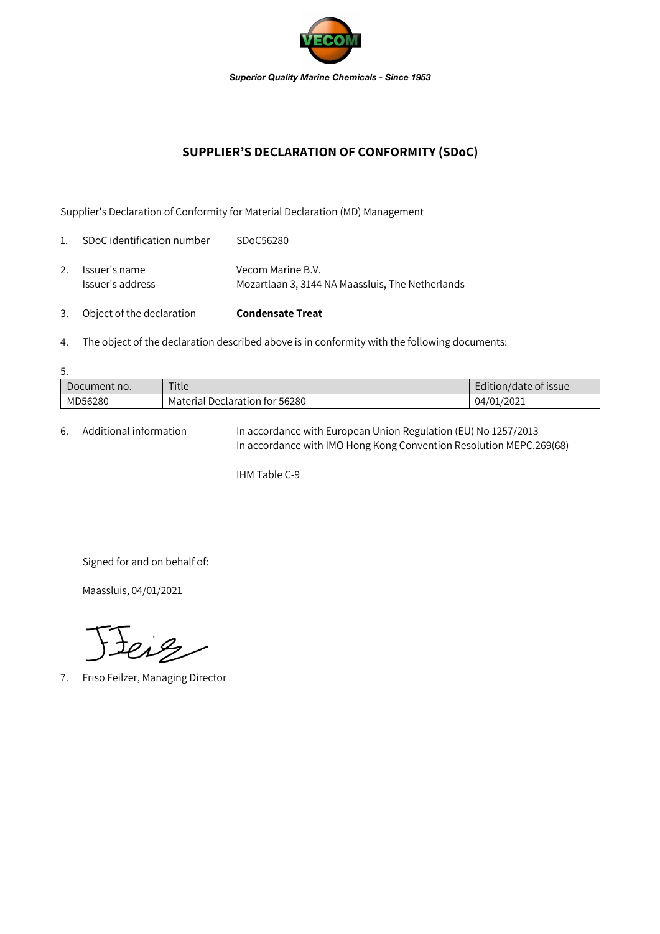

## **SUPPLIER'S DECLARATION OF CONFORMITY (SDoC)**

Supplier's Declaration of Conformity for Material Declaration (MD) Management

| 3.             | Object of the declaration         | <b>Condensate Treat</b>                                               |
|----------------|-----------------------------------|-----------------------------------------------------------------------|
| 2.             | Issuer's name<br>Issuer's address | Vecom Marine B.V.<br>Mozartlaan 3, 3144 NA Maassluis, The Netherlands |
| $\mathbf{1}$ . | SDoC identification number        | SDoC56280                                                             |

4. The object of the declaration described above is in conformity with the following documents:

| 5.           |                                |                       |  |  |  |  |
|--------------|--------------------------------|-----------------------|--|--|--|--|
| Document no. | Title                          | Edition/date of issue |  |  |  |  |
| MD56280      | Material Declaration for 56280 | 04/01/2021            |  |  |  |  |

6. Additional information In accordance with European Union Regulation (EU) No 1257/2013 In accordance with IMO Hong Kong Convention Resolution MEPC.269(68)

IHM Table C-9

Signed for and on behalf of:

Maassluis, 04/01/2021

teig

7. Friso Feilzer, Managing Director